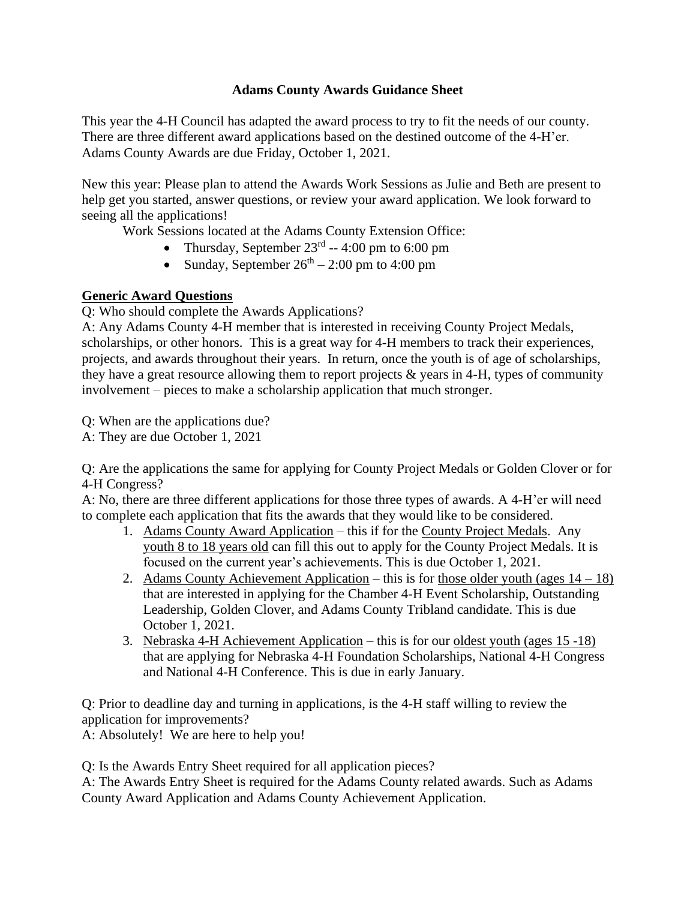### **Adams County Awards Guidance Sheet**

This year the 4-H Council has adapted the award process to try to fit the needs of our county. There are three different award applications based on the destined outcome of the 4-H'er. Adams County Awards are due Friday, October 1, 2021.

New this year: Please plan to attend the Awards Work Sessions as Julie and Beth are present to help get you started, answer questions, or review your award application. We look forward to seeing all the applications!

Work Sessions located at the Adams County Extension Office:

- Thursday, September  $23^{rd}$  -- 4:00 pm to 6:00 pm
- Sunday, September  $26<sup>th</sup> 2:00$  pm to 4:00 pm

# **Generic Award Questions**

Q: Who should complete the Awards Applications?

A: Any Adams County 4-H member that is interested in receiving County Project Medals, scholarships, or other honors. This is a great way for 4-H members to track their experiences, projects, and awards throughout their years. In return, once the youth is of age of scholarships, they have a great resource allowing them to report projects & years in 4-H, types of community involvement – pieces to make a scholarship application that much stronger.

Q: When are the applications due?

A: They are due October 1, 2021

Q: Are the applications the same for applying for County Project Medals or Golden Clover or for 4-H Congress?

A: No, there are three different applications for those three types of awards. A 4-H'er will need to complete each application that fits the awards that they would like to be considered.

- 1. Adams County Award Application this if for the County Project Medals. Any youth 8 to 18 years old can fill this out to apply for the County Project Medals. It is focused on the current year's achievements. This is due October 1, 2021.
- 2. Adams County Achievement Application this is for those older youth (ages  $14 18$ ) that are interested in applying for the Chamber 4-H Event Scholarship, Outstanding Leadership, Golden Clover, and Adams County Tribland candidate. This is due October 1, 2021.
- 3. Nebraska 4-H Achievement Application this is for our oldest youth (ages 15 -18) that are applying for Nebraska 4-H Foundation Scholarships, National 4-H Congress and National 4-H Conference. This is due in early January.

Q: Prior to deadline day and turning in applications, is the 4-H staff willing to review the application for improvements?

A: Absolutely! We are here to help you!

Q: Is the Awards Entry Sheet required for all application pieces?

A: The Awards Entry Sheet is required for the Adams County related awards. Such as Adams County Award Application and Adams County Achievement Application.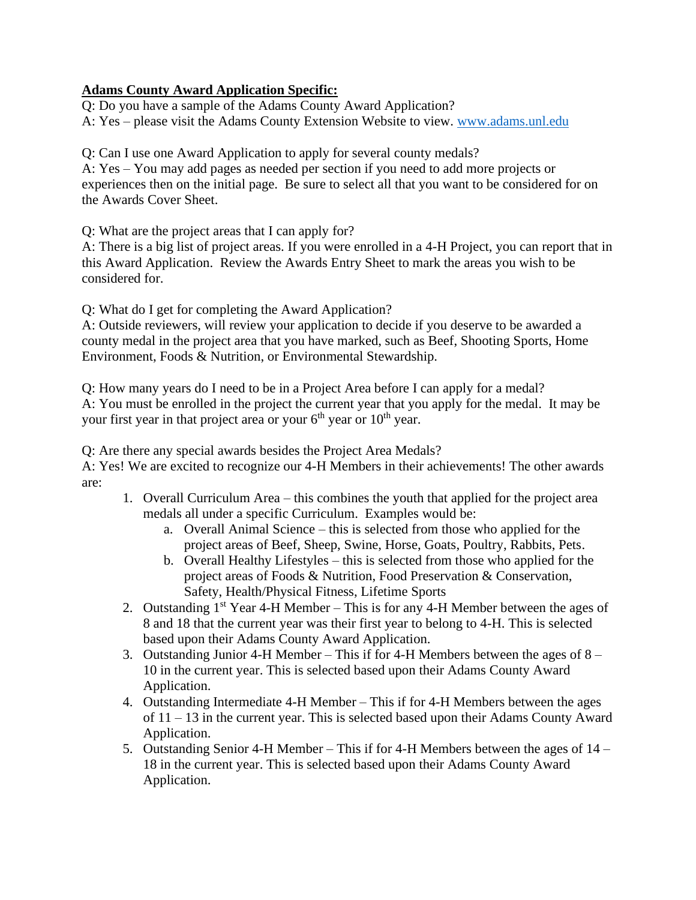# **Adams County Award Application Specific:**

Q: Do you have a sample of the Adams County Award Application? A: Yes – please visit the Adams County Extension Website to view. [www.adams.unl.edu](http://www.adams.unl.edu/)

Q: Can I use one Award Application to apply for several county medals? A: Yes – You may add pages as needed per section if you need to add more projects or experiences then on the initial page. Be sure to select all that you want to be considered for on the Awards Cover Sheet.

Q: What are the project areas that I can apply for?

A: There is a big list of project areas. If you were enrolled in a 4-H Project, you can report that in this Award Application. Review the Awards Entry Sheet to mark the areas you wish to be considered for.

Q: What do I get for completing the Award Application?

A: Outside reviewers, will review your application to decide if you deserve to be awarded a county medal in the project area that you have marked, such as Beef, Shooting Sports, Home Environment, Foods & Nutrition, or Environmental Stewardship.

Q: How many years do I need to be in a Project Area before I can apply for a medal? A: You must be enrolled in the project the current year that you apply for the medal. It may be your first year in that project area or your  $6<sup>th</sup>$  year or  $10<sup>th</sup>$  year.

Q: Are there any special awards besides the Project Area Medals?

A: Yes! We are excited to recognize our 4-H Members in their achievements! The other awards are:

- 1. Overall Curriculum Area this combines the youth that applied for the project area medals all under a specific Curriculum. Examples would be:
	- a. Overall Animal Science this is selected from those who applied for the project areas of Beef, Sheep, Swine, Horse, Goats, Poultry, Rabbits, Pets.
	- b. Overall Healthy Lifestyles this is selected from those who applied for the project areas of Foods & Nutrition, Food Preservation & Conservation, Safety, Health/Physical Fitness, Lifetime Sports
- 2. Outstanding  $1<sup>st</sup> Year 4-H Member This is for any 4-H Member between the ages of$ 8 and 18 that the current year was their first year to belong to 4-H. This is selected based upon their Adams County Award Application.
- 3. Outstanding Junior 4-H Member This if for 4-H Members between the ages of 8 10 in the current year. This is selected based upon their Adams County Award Application.
- 4. Outstanding Intermediate 4-H Member This if for 4-H Members between the ages of 11 – 13 in the current year. This is selected based upon their Adams County Award Application.
- 5. Outstanding Senior 4-H Member This if for 4-H Members between the ages of 14 18 in the current year. This is selected based upon their Adams County Award Application.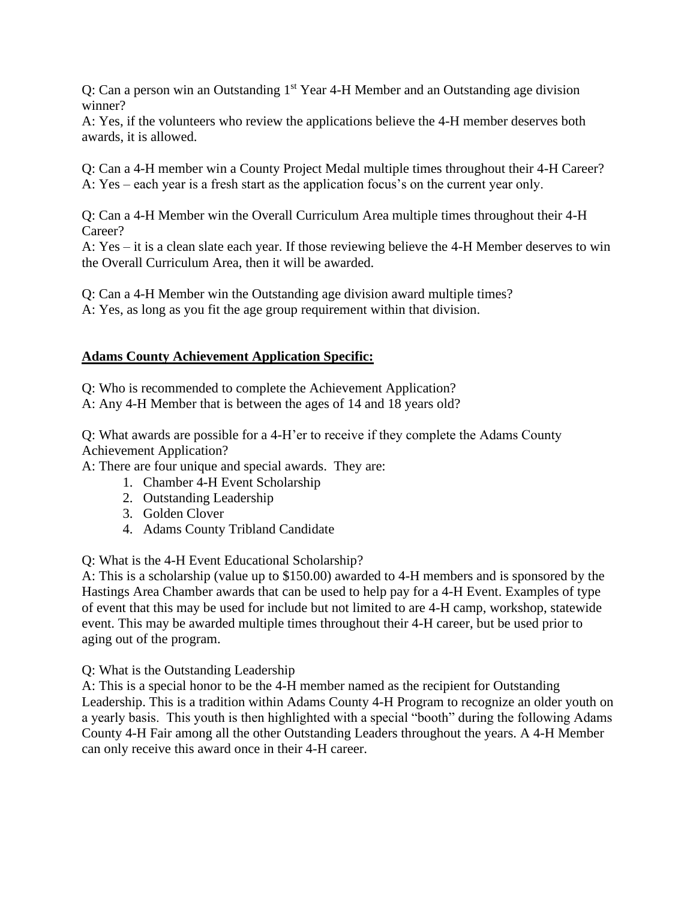Q: Can a person win an Outstanding 1st Year 4-H Member and an Outstanding age division winner?

A: Yes, if the volunteers who review the applications believe the 4-H member deserves both awards, it is allowed.

Q: Can a 4-H member win a County Project Medal multiple times throughout their 4-H Career? A: Yes – each year is a fresh start as the application focus's on the current year only.

Q: Can a 4-H Member win the Overall Curriculum Area multiple times throughout their 4-H Career?

A: Yes – it is a clean slate each year. If those reviewing believe the 4-H Member deserves to win the Overall Curriculum Area, then it will be awarded.

Q: Can a 4-H Member win the Outstanding age division award multiple times? A: Yes, as long as you fit the age group requirement within that division.

### **Adams County Achievement Application Specific:**

Q: Who is recommended to complete the Achievement Application?

A: Any 4-H Member that is between the ages of 14 and 18 years old?

Q: What awards are possible for a 4-H'er to receive if they complete the Adams County Achievement Application?

A: There are four unique and special awards. They are:

- 1. Chamber 4-H Event Scholarship
- 2. Outstanding Leadership
- 3. Golden Clover
- 4. Adams County Tribland Candidate

Q: What is the 4-H Event Educational Scholarship?

A: This is a scholarship (value up to \$150.00) awarded to 4-H members and is sponsored by the Hastings Area Chamber awards that can be used to help pay for a 4-H Event. Examples of type of event that this may be used for include but not limited to are 4-H camp, workshop, statewide event. This may be awarded multiple times throughout their 4-H career, but be used prior to aging out of the program.

Q: What is the Outstanding Leadership

A: This is a special honor to be the 4-H member named as the recipient for Outstanding Leadership. This is a tradition within Adams County 4-H Program to recognize an older youth on a yearly basis. This youth is then highlighted with a special "booth" during the following Adams County 4-H Fair among all the other Outstanding Leaders throughout the years. A 4-H Member can only receive this award once in their 4-H career.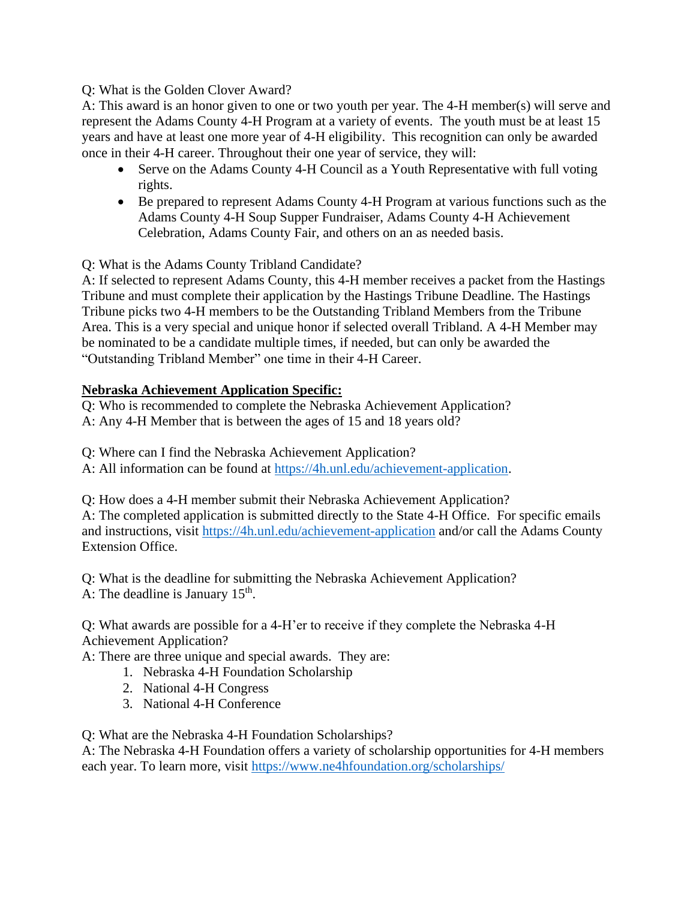### Q: What is the Golden Clover Award?

A: This award is an honor given to one or two youth per year. The 4-H member(s) will serve and represent the Adams County 4-H Program at a variety of events. The youth must be at least 15 years and have at least one more year of 4-H eligibility. This recognition can only be awarded once in their 4-H career. Throughout their one year of service, they will:

- Serve on the Adams County 4-H Council as a Youth Representative with full voting rights.
- Be prepared to represent Adams County 4-H Program at various functions such as the Adams County 4-H Soup Supper Fundraiser, Adams County 4-H Achievement Celebration, Adams County Fair, and others on an as needed basis.

Q: What is the Adams County Tribland Candidate?

A: If selected to represent Adams County, this 4-H member receives a packet from the Hastings Tribune and must complete their application by the Hastings Tribune Deadline. The Hastings Tribune picks two 4-H members to be the Outstanding Tribland Members from the Tribune Area. This is a very special and unique honor if selected overall Tribland. A 4-H Member may be nominated to be a candidate multiple times, if needed, but can only be awarded the "Outstanding Tribland Member" one time in their 4-H Career.

#### **Nebraska Achievement Application Specific:**

Q: Who is recommended to complete the Nebraska Achievement Application? A: Any 4-H Member that is between the ages of 15 and 18 years old?

Q: Where can I find the Nebraska Achievement Application?

A: All information can be found at [https://4h.unl.edu/achievement-application.](https://4h.unl.edu/achievement-application)

Q: How does a 4-H member submit their Nebraska Achievement Application? A: The completed application is submitted directly to the State 4-H Office. For specific emails and instructions, visit<https://4h.unl.edu/achievement-application> and/or call the Adams County Extension Office.

Q: What is the deadline for submitting the Nebraska Achievement Application? A: The deadline is January  $15<sup>th</sup>$ .

Q: What awards are possible for a 4-H'er to receive if they complete the Nebraska 4-H Achievement Application?

A: There are three unique and special awards. They are:

- 1. Nebraska 4-H Foundation Scholarship
- 2. National 4-H Congress
- 3. National 4-H Conference

Q: What are the Nebraska 4-H Foundation Scholarships?

A: The Nebraska 4-H Foundation offers a variety of scholarship opportunities for 4-H members each year. To learn more, visit<https://www.ne4hfoundation.org/scholarships/>